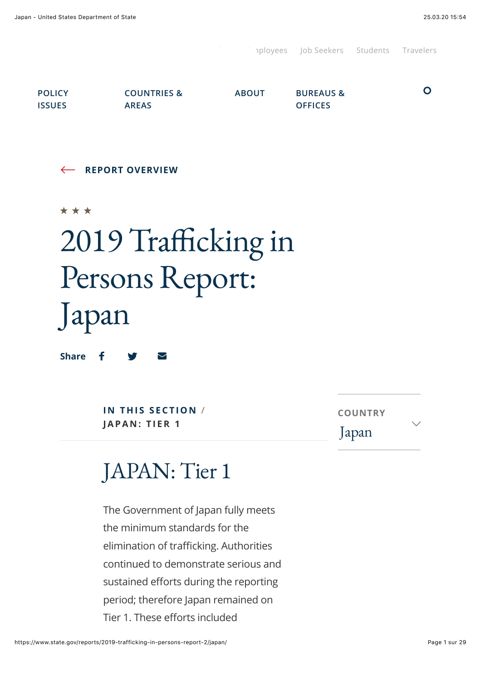aployees [Job Seekers](https://www.state.gov/job-seekers/) [Students](https://www.state.gov/students/) [Travelers](https://www.state.gov/travelers/)

| <b>POLICY</b> | <b>COUNTRIES &amp;</b> | <b>ABOUT</b> | <b>BUREAUS &amp;</b> |  |
|---------------|------------------------|--------------|----------------------|--|
| <b>ISSUES</b> | <b>AREAS</b>           |              | <b>OFFICES</b>       |  |

**[REPORT OVERVIEW](https://www.state.gov/reports/2019-trafficking-in-persons-report/)**

\*\*\*

# 2019 Trafficking in Persons Report: Japan

**Share** f

> **[IN THIS SECTION](https://www.state.gov/reports/2019-trafficking-in-persons-report-2/japan/#!)** / **JAPAN: TIER 1**

**COUNTRY** Japan

#### JAPAN: Tier 1

The Government of Japan fully meets the minimum standards for the elimination of trafficking. Authorities continued to demonstrate serious and sustained efforts during the reporting period; therefore Japan remained on Tier 1. These efforts included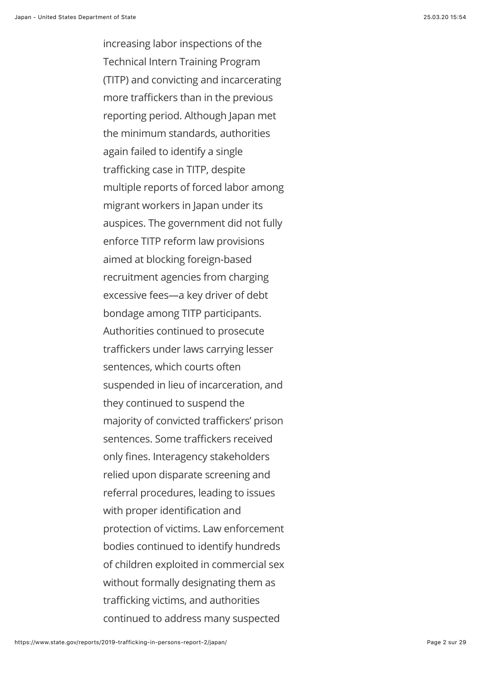increasing labor inspections of the Technical Intern Training Program (TITP) and convicting and incarcerating more traffickers than in the previous reporting period. Although Japan met the minimum standards, authorities again failed to identify a single trafficking case in TITP, despite multiple reports of forced labor among migrant workers in Japan under its auspices. The government did not fully enforce TITP reform law provisions aimed at blocking foreign-based recruitment agencies from charging excessive fees—a key driver of debt bondage among TITP participants. Authorities continued to prosecute traffickers under laws carrying lesser sentences, which courts often suspended in lieu of incarceration, and they continued to suspend the majority of convicted traffickers' prison sentences. Some traffickers received only fines. Interagency stakeholders relied upon disparate screening and referral procedures, leading to issues with proper identification and protection of victims. Law enforcement bodies continued to identify hundreds of children exploited in commercial sex without formally designating them as trafficking victims, and authorities continued to address many suspected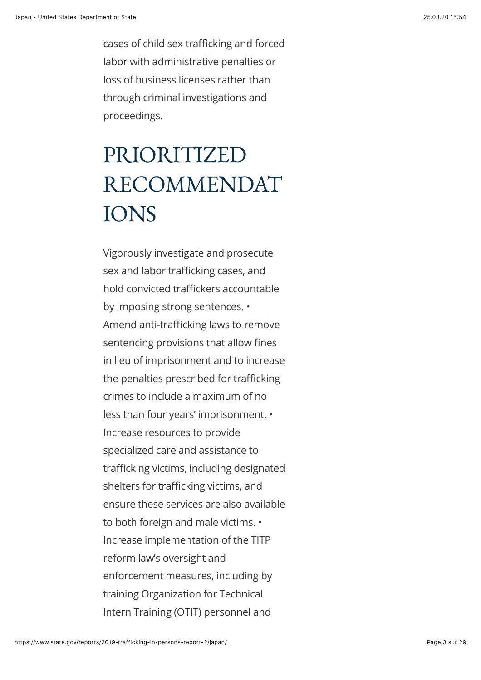cases of child sex trafficking and forced labor with administrative penalties or loss of business licenses rather than through criminal investigations and proceedings.

## PRIORITIZED RECOMMENDAT IONS

Vigorously investigate and prosecute sex and labor trafficking cases, and hold convicted traffickers accountable by imposing strong sentences. • Amend anti-trafficking laws to remove sentencing provisions that allow fines in lieu of imprisonment and to increase the penalties prescribed for trafficking crimes to include a maximum of no less than four years' imprisonment. • Increase resources to provide specialized care and assistance to trafficking victims, including designated shelters for trafficking victims, and ensure these services are also available to both foreign and male victims. • Increase implementation of the TITP reform law's oversight and enforcement measures, including by training Organization for Technical Intern Training (OTIT) personnel and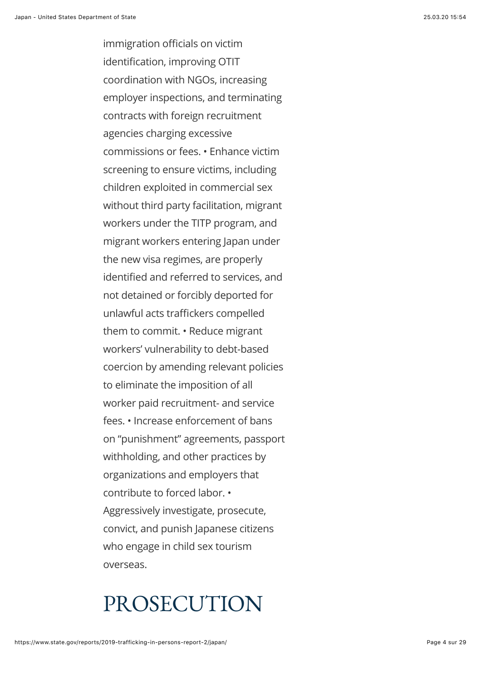immigration officials on victim identification, improving OTIT coordination with NGOs, increasing employer inspections, and terminating contracts with foreign recruitment agencies charging excessive commissions or fees. • Enhance victim screening to ensure victims, including children exploited in commercial sex without third party facilitation, migrant workers under the TITP program, and migrant workers entering Japan under the new visa regimes, are properly identified and referred to services, and not detained or forcibly deported for unlawful acts traffickers compelled them to commit. • Reduce migrant workers' vulnerability to debt-based coercion by amending relevant policies to eliminate the imposition of all worker paid recruitment- and service fees. • Increase enforcement of bans on "punishment" agreements, passport withholding, and other practices by organizations and employers that contribute to forced labor. • Aggressively investigate, prosecute, convict, and punish Japanese citizens who engage in child sex tourism overseas.

#### PROSECUTION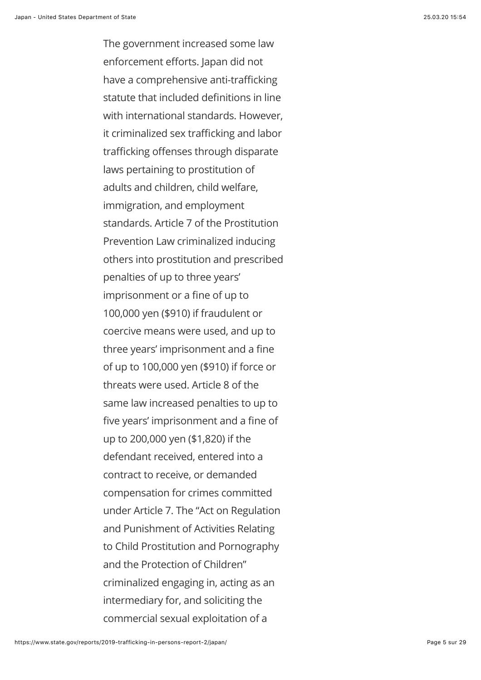The government increased some law enforcement efforts. Japan did not have a comprehensive anti-trafficking statute that included definitions in line with international standards. However, it criminalized sex trafficking and labor trafficking offenses through disparate laws pertaining to prostitution of adults and children, child welfare, immigration, and employment standards. Article 7 of the Prostitution Prevention Law criminalized inducing others into prostitution and prescribed penalties of up to three years' imprisonment or a fine of up to 100,000 yen (\$910) if fraudulent or coercive means were used, and up to three years' imprisonment and a fine of up to 100,000 yen (\$910) if force or threats were used. Article 8 of the same law increased penalties to up to five years' imprisonment and a fine of up to 200,000 yen (\$1,820) if the defendant received, entered into a contract to receive, or demanded compensation for crimes committed under Article 7. The "Act on Regulation and Punishment of Activities Relating to Child Prostitution and Pornography and the Protection of Children" criminalized engaging in, acting as an intermediary for, and soliciting the commercial sexual exploitation of a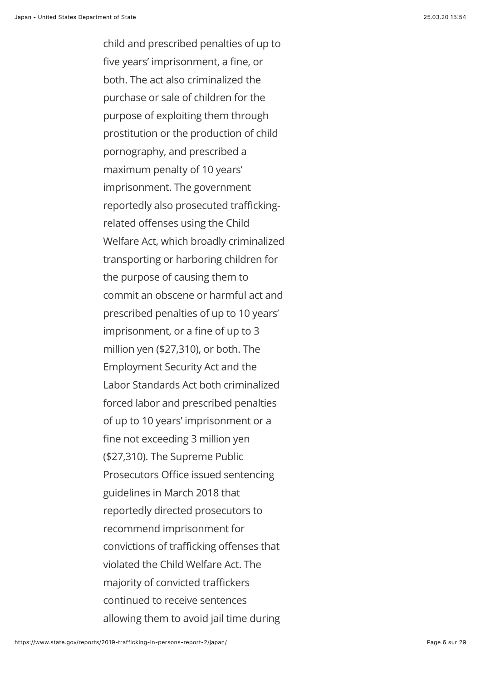child and prescribed penalties of up to five years' imprisonment, a fine, or both. The act also criminalized the purchase or sale of children for the purpose of exploiting them through prostitution or the production of child pornography, and prescribed a maximum penalty of 10 years' imprisonment. The government reportedly also prosecuted traffickingrelated offenses using the Child Welfare Act, which broadly criminalized transporting or harboring children for the purpose of causing them to commit an obscene or harmful act and prescribed penalties of up to 10 years' imprisonment, or a fine of up to 3 million yen (\$27,310), or both. The Employment Security Act and the Labor Standards Act both criminalized forced labor and prescribed penalties of up to 10 years' imprisonment or a fine not exceeding 3 million yen (\$27,310). The Supreme Public Prosecutors Office issued sentencing guidelines in March 2018 that reportedly directed prosecutors to recommend imprisonment for convictions of trafficking offenses that violated the Child Welfare Act. The majority of convicted traffickers continued to receive sentences allowing them to avoid jail time during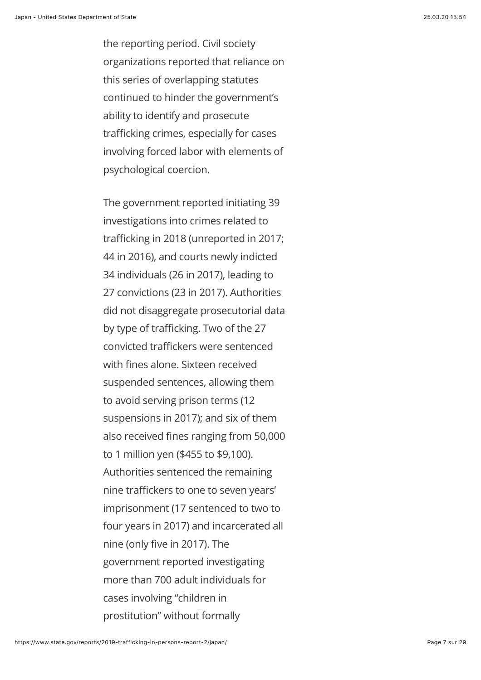the reporting period. Civil society organizations reported that reliance on this series of overlapping statutes continued to hinder the government's ability to identify and prosecute trafficking crimes, especially for cases involving forced labor with elements of psychological coercion.

The government reported initiating 39 investigations into crimes related to trafficking in 2018 (unreported in 2017; 44 in 2016), and courts newly indicted 34 individuals (26 in 2017), leading to 27 convictions (23 in 2017). Authorities did not disaggregate prosecutorial data by type of trafficking. Two of the 27 convicted traffickers were sentenced with fines alone. Sixteen received suspended sentences, allowing them to avoid serving prison terms (12 suspensions in 2017); and six of them also received fines ranging from 50,000 to 1 million yen (\$455 to \$9,100). Authorities sentenced the remaining nine traffickers to one to seven years' imprisonment (17 sentenced to two to four years in 2017) and incarcerated all nine (only five in 2017). The government reported investigating more than 700 adult individuals for cases involving "children in prostitution" without formally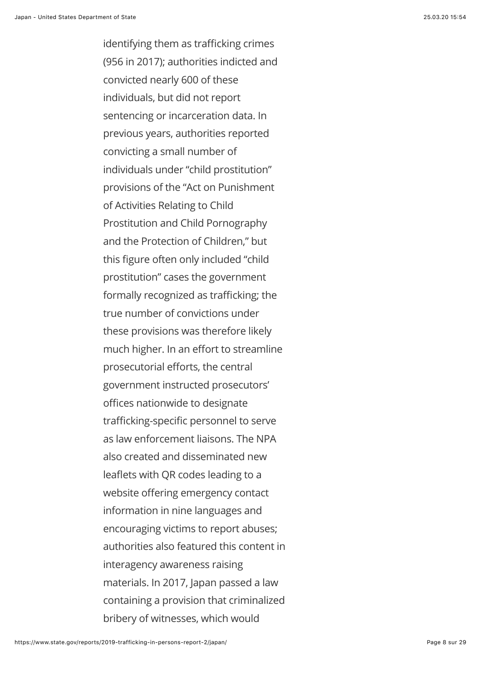identifying them as trafficking crimes (956 in 2017); authorities indicted and convicted nearly 600 of these individuals, but did not report sentencing or incarceration data. In previous years, authorities reported convicting a small number of individuals under "child prostitution" provisions of the "Act on Punishment of Activities Relating to Child Prostitution and Child Pornography and the Protection of Children," but this figure often only included "child prostitution" cases the government formally recognized as trafficking; the true number of convictions under these provisions was therefore likely much higher. In an effort to streamline prosecutorial efforts, the central government instructed prosecutors' offices nationwide to designate trafficking-specific personnel to serve as law enforcement liaisons. The NPA also created and disseminated new leaflets with QR codes leading to a website offering emergency contact information in nine languages and encouraging victims to report abuses; authorities also featured this content in interagency awareness raising materials. In 2017, Japan passed a law containing a provision that criminalized bribery of witnesses, which would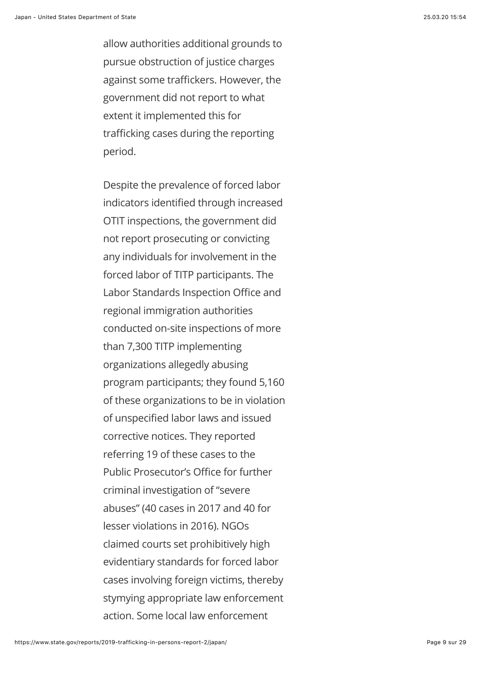allow authorities additional grounds to pursue obstruction of justice charges against some traffickers. However, the government did not report to what extent it implemented this for trafficking cases during the reporting period.

Despite the prevalence of forced labor indicators identified through increased OTIT inspections, the government did not report prosecuting or convicting any individuals for involvement in the forced labor of TITP participants. The Labor Standards Inspection Office and regional immigration authorities conducted on-site inspections of more than 7,300 TITP implementing organizations allegedly abusing program participants; they found 5,160 of these organizations to be in violation of unspecified labor laws and issued corrective notices. They reported referring 19 of these cases to the Public Prosecutor's Office for further criminal investigation of "severe abuses" (40 cases in 2017 and 40 for lesser violations in 2016). NGOs claimed courts set prohibitively high evidentiary standards for forced labor cases involving foreign victims, thereby stymying appropriate law enforcement action. Some local law enforcement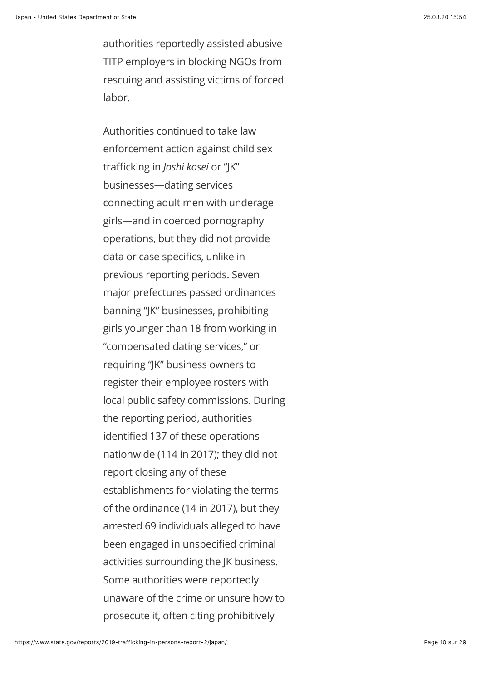authorities reportedly assisted abusive TITP employers in blocking NGOs from rescuing and assisting victims of forced labor.

Authorities continued to take law enforcement action against child sex trafficking in *Joshi kosei* or "JK" businesses—dating services connecting adult men with underage girls—and in coerced pornography operations, but they did not provide data or case specifics, unlike in previous reporting periods. Seven major prefectures passed ordinances banning "JK" businesses, prohibiting girls younger than 18 from working in "compensated dating services," or requiring "JK" business owners to register their employee rosters with local public safety commissions. During the reporting period, authorities identified 137 of these operations nationwide (114 in 2017); they did not report closing any of these establishments for violating the terms of the ordinance (14 in 2017), but they arrested 69 individuals alleged to have been engaged in unspecified criminal activities surrounding the JK business. Some authorities were reportedly unaware of the crime or unsure how to prosecute it, often citing prohibitively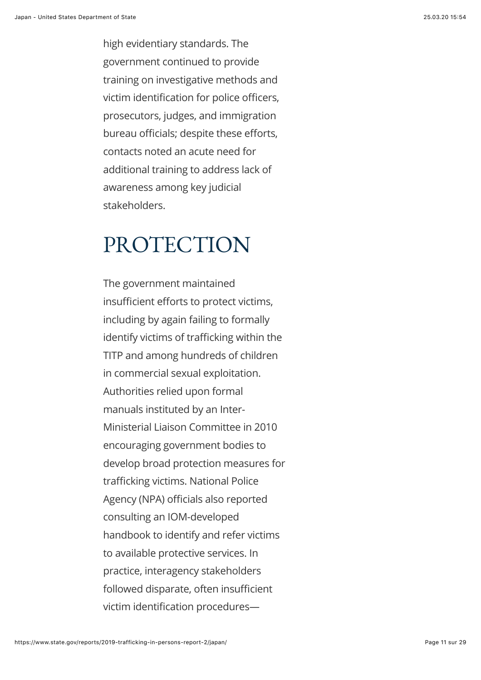high evidentiary standards. The government continued to provide training on investigative methods and victim identification for police officers, prosecutors, judges, and immigration bureau officials; despite these efforts, contacts noted an acute need for additional training to address lack of awareness among key judicial stakeholders.

#### PROTECTION

The government maintained insufficient efforts to protect victims, including by again failing to formally identify victims of trafficking within the TITP and among hundreds of children in commercial sexual exploitation. Authorities relied upon formal manuals instituted by an Inter-Ministerial Liaison Committee in 2010 encouraging government bodies to develop broad protection measures for trafficking victims. National Police Agency (NPA) officials also reported consulting an IOM-developed handbook to identify and refer victims to available protective services. In practice, interagency stakeholders followed disparate, often insufficient victim identification procedures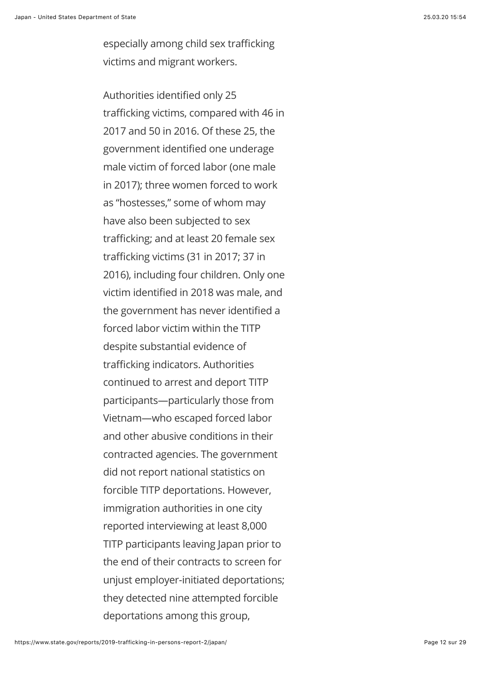especially among child sex trafficking victims and migrant workers.

Authorities identified only 25 trafficking victims, compared with 46 in 2017 and 50 in 2016. Of these 25, the government identified one underage male victim of forced labor (one male in 2017); three women forced to work as "hostesses," some of whom may have also been subjected to sex trafficking; and at least 20 female sex trafficking victims (31 in 2017; 37 in 2016), including four children. Only one victim identified in 2018 was male, and the government has never identified a forced labor victim within the TITP despite substantial evidence of trafficking indicators. Authorities continued to arrest and deport TITP participants—particularly those from Vietnam—who escaped forced labor and other abusive conditions in their contracted agencies. The government did not report national statistics on forcible TITP deportations. However, immigration authorities in one city reported interviewing at least 8,000 TITP participants leaving Japan prior to the end of their contracts to screen for unjust employer-initiated deportations; they detected nine attempted forcible deportations among this group,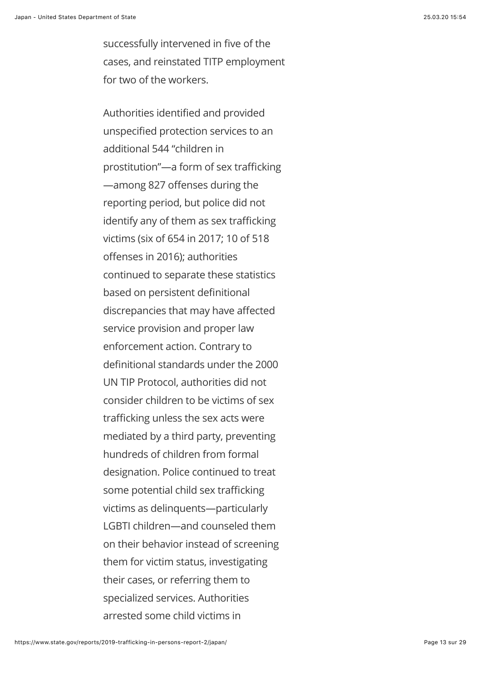successfully intervened in five of the cases, and reinstated TITP employment for two of the workers.

Authorities identified and provided unspecified protection services to an additional 544 "children in prostitution"—a form of sex trafficking —among 827 offenses during the reporting period, but police did not identify any of them as sex trafficking victims (six of 654 in 2017; 10 of 518 offenses in 2016); authorities continued to separate these statistics based on persistent definitional discrepancies that may have affected service provision and proper law enforcement action. Contrary to definitional standards under the 2000 UN TIP Protocol, authorities did not consider children to be victims of sex trafficking unless the sex acts were mediated by a third party, preventing hundreds of children from formal designation. Police continued to treat some potential child sex trafficking victims as delinquents—particularly LGBTI children—and counseled them on their behavior instead of screening them for victim status, investigating their cases, or referring them to specialized services. Authorities arrested some child victims in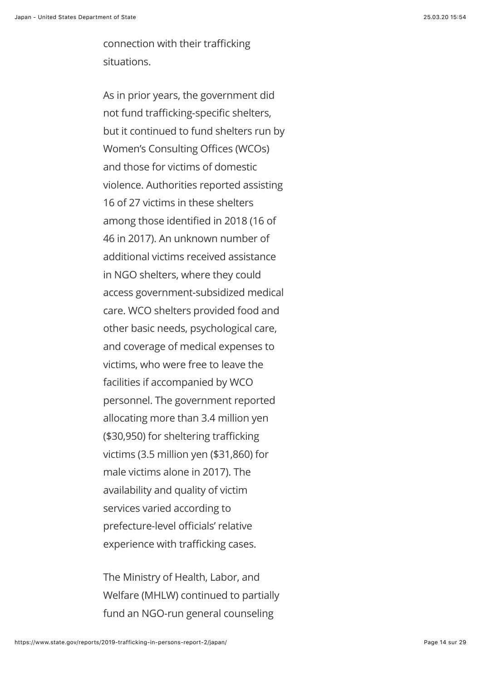connection with their trafficking situations.

As in prior years, the government did not fund trafficking-specific shelters, but it continued to fund shelters run by Women's Consulting Offices (WCOs) and those for victims of domestic violence. Authorities reported assisting 16 of 27 victims in these shelters among those identified in 2018 (16 of 46 in 2017). An unknown number of additional victims received assistance in NGO shelters, where they could access government-subsidized medical care. WCO shelters provided food and other basic needs, psychological care, and coverage of medical expenses to victims, who were free to leave the facilities if accompanied by WCO personnel. The government reported allocating more than 3.4 million yen (\$30,950) for sheltering trafficking victims (3.5 million yen (\$31,860) for male victims alone in 2017). The availability and quality of victim services varied according to prefecture-level officials' relative experience with trafficking cases.

The Ministry of Health, Labor, and Welfare (MHLW) continued to partially fund an NGO-run general counseling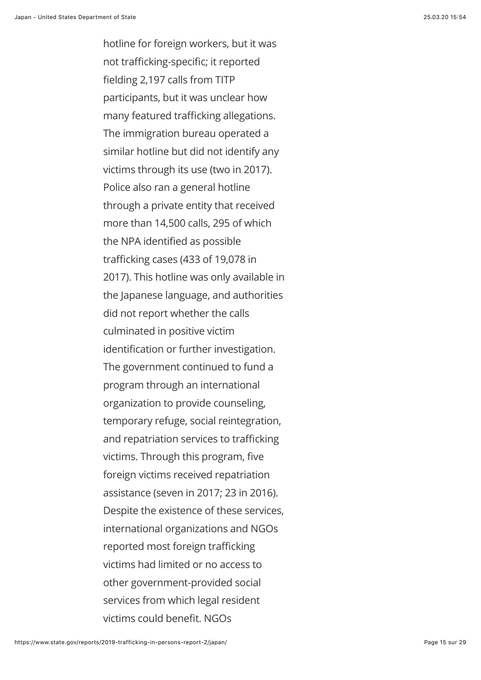hotline for foreign workers, but it was not trafficking-specific; it reported fielding 2,197 calls from TITP participants, but it was unclear how many featured trafficking allegations. The immigration bureau operated a similar hotline but did not identify any victims through its use (two in 2017). Police also ran a general hotline through a private entity that received more than 14,500 calls, 295 of which the NPA identified as possible trafficking cases (433 of 19,078 in 2017). This hotline was only available in the Japanese language, and authorities did not report whether the calls culminated in positive victim identification or further investigation. The government continued to fund a program through an international organization to provide counseling, temporary refuge, social reintegration, and repatriation services to trafficking victims. Through this program, five foreign victims received repatriation assistance (seven in 2017; 23 in 2016). Despite the existence of these services, international organizations and NGOs reported most foreign trafficking victims had limited or no access to other government-provided social services from which legal resident victims could benefit. NGOs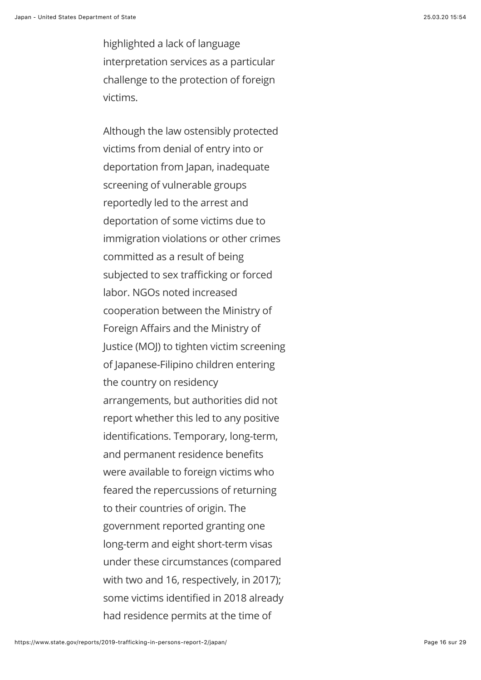highlighted a lack of language interpretation services as a particular challenge to the protection of foreign victims.

Although the law ostensibly protected victims from denial of entry into or deportation from Japan, inadequate screening of vulnerable groups reportedly led to the arrest and deportation of some victims due to immigration violations or other crimes committed as a result of being subjected to sex trafficking or forced labor. NGOs noted increased cooperation between the Ministry of Foreign Affairs and the Ministry of Justice (MOJ) to tighten victim screening of Japanese-Filipino children entering the country on residency arrangements, but authorities did not report whether this led to any positive identifications. Temporary, long-term, and permanent residence benefits were available to foreign victims who feared the repercussions of returning to their countries of origin. The government reported granting one long-term and eight short-term visas under these circumstances (compared with two and 16, respectively, in 2017); some victims identified in 2018 already had residence permits at the time of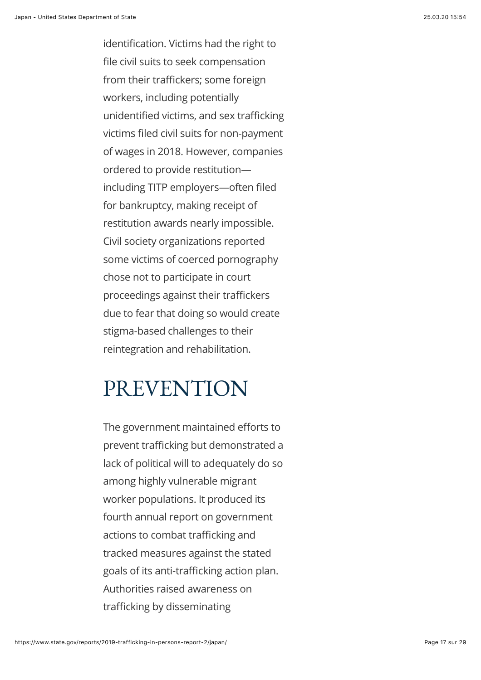identification. Victims had the right to file civil suits to seek compensation from their traffickers; some foreign workers, including potentially unidentified victims, and sex trafficking victims filed civil suits for non-payment of wages in 2018. However, companies ordered to provide restitution including TITP employers—often filed for bankruptcy, making receipt of restitution awards nearly impossible. Civil society organizations reported some victims of coerced pornography chose not to participate in court proceedings against their traffickers due to fear that doing so would create stigma-based challenges to their reintegration and rehabilitation.

#### **PREVENTION**

The government maintained efforts to prevent trafficking but demonstrated a lack of political will to adequately do so among highly vulnerable migrant worker populations. It produced its fourth annual report on government actions to combat trafficking and tracked measures against the stated goals of its anti-trafficking action plan. Authorities raised awareness on trafficking by disseminating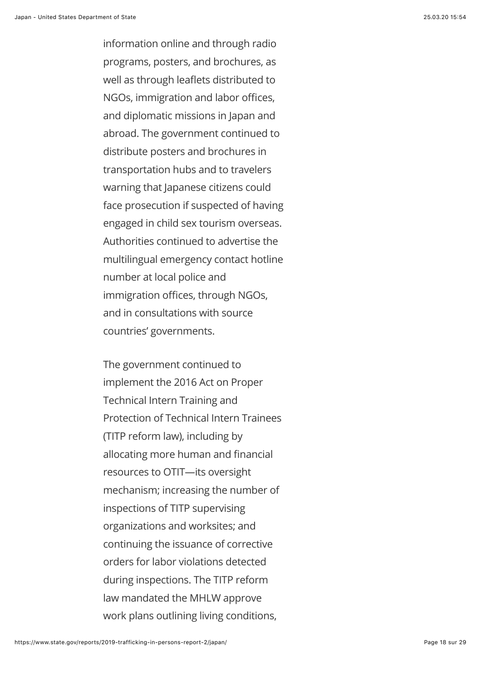information online and through radio programs, posters, and brochures, as well as through leaflets distributed to NGOs, immigration and labor offices, and diplomatic missions in Japan and abroad. The government continued to distribute posters and brochures in transportation hubs and to travelers warning that Japanese citizens could face prosecution if suspected of having engaged in child sex tourism overseas. Authorities continued to advertise the multilingual emergency contact hotline number at local police and immigration offices, through NGOs, and in consultations with source countries' governments.

The government continued to implement the 2016 Act on Proper Technical Intern Training and Protection of Technical Intern Trainees (TITP reform law), including by allocating more human and financial resources to OTIT—its oversight mechanism; increasing the number of inspections of TITP supervising organizations and worksites; and continuing the issuance of corrective orders for labor violations detected during inspections. The TITP reform law mandated the MHLW approve work plans outlining living conditions,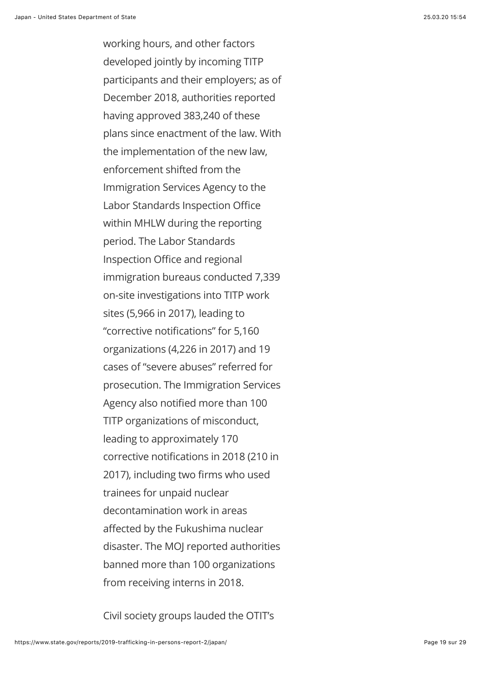working hours, and other factors developed jointly by incoming TITP participants and their employers; as of December 2018, authorities reported having approved 383,240 of these plans since enactment of the law. With the implementation of the new law, enforcement shifted from the Immigration Services Agency to the Labor Standards Inspection Office within MHLW during the reporting period. The Labor Standards Inspection Office and regional immigration bureaus conducted 7,339 on-site investigations into TITP work sites (5,966 in 2017), leading to "corrective notifications" for 5,160 organizations (4,226 in 2017) and 19 cases of "severe abuses" referred for prosecution. The Immigration Services Agency also notified more than 100 TITP organizations of misconduct, leading to approximately 170 corrective notifications in 2018 (210 in 2017), including two firms who used trainees for unpaid nuclear decontamination work in areas affected by the Fukushima nuclear disaster. The MOJ reported authorities banned more than 100 organizations from receiving interns in 2018.

Civil society groups lauded the OTIT's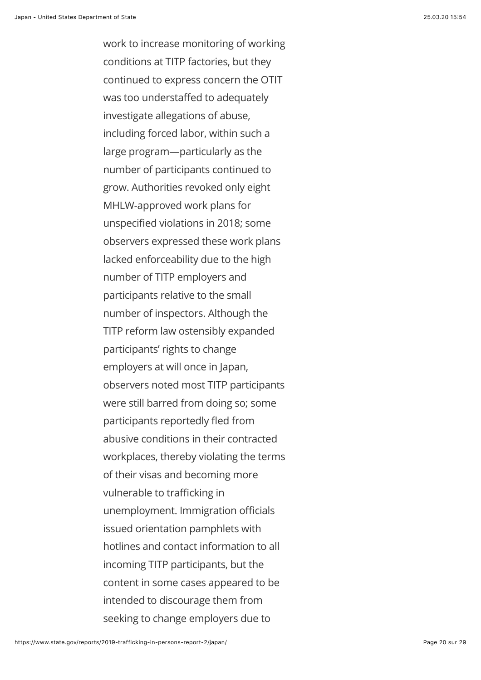work to increase monitoring of working conditions at TITP factories, but they continued to express concern the OTIT was too understaffed to adequately investigate allegations of abuse, including forced labor, within such a large program—particularly as the number of participants continued to grow. Authorities revoked only eight MHLW-approved work plans for unspecified violations in 2018; some observers expressed these work plans lacked enforceability due to the high number of TITP employers and participants relative to the small number of inspectors. Although the TITP reform law ostensibly expanded participants' rights to change employers at will once in Japan, observers noted most TITP participants were still barred from doing so; some participants reportedly fled from abusive conditions in their contracted workplaces, thereby violating the terms of their visas and becoming more vulnerable to trafficking in unemployment. Immigration officials issued orientation pamphlets with hotlines and contact information to all incoming TITP participants, but the content in some cases appeared to be intended to discourage them from seeking to change employers due to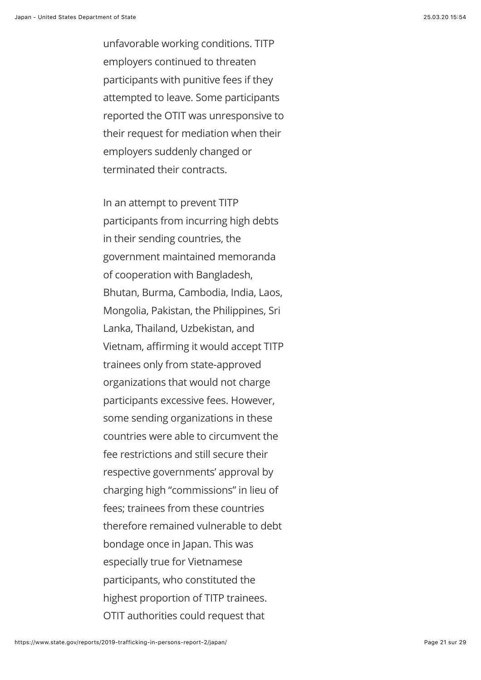unfavorable working conditions. TITP employers continued to threaten participants with punitive fees if they attempted to leave. Some participants reported the OTIT was unresponsive to their request for mediation when their employers suddenly changed or terminated their contracts.

In an attempt to prevent TITP participants from incurring high debts in their sending countries, the government maintained memoranda of cooperation with Bangladesh, Bhutan, Burma, Cambodia, India, Laos, Mongolia, Pakistan, the Philippines, Sri Lanka, Thailand, Uzbekistan, and Vietnam, affirming it would accept TITP trainees only from state-approved organizations that would not charge participants excessive fees. However, some sending organizations in these countries were able to circumvent the fee restrictions and still secure their respective governments' approval by charging high "commissions" in lieu of fees; trainees from these countries therefore remained vulnerable to debt bondage once in Japan. This was especially true for Vietnamese participants, who constituted the highest proportion of TITP trainees. OTIT authorities could request that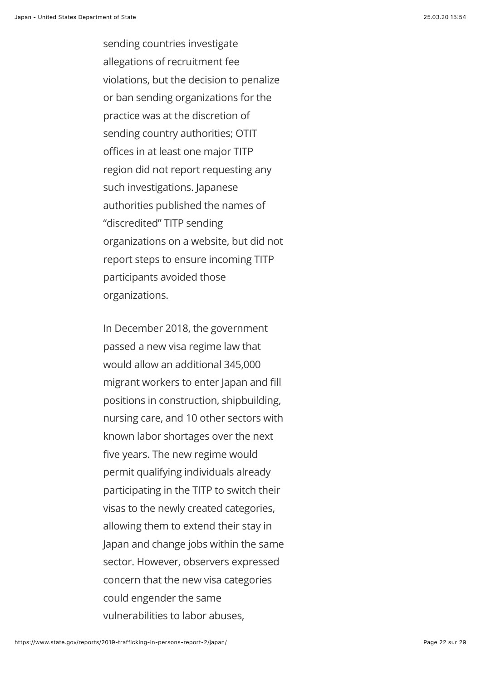sending countries investigate allegations of recruitment fee violations, but the decision to penalize or ban sending organizations for the practice was at the discretion of sending country authorities; OTIT offices in at least one major TITP region did not report requesting any such investigations. Japanese authorities published the names of "discredited" TITP sending organizations on a website, but did not report steps to ensure incoming TITP participants avoided those organizations.

In December 2018, the government passed a new visa regime law that would allow an additional 345,000 migrant workers to enter Japan and fill positions in construction, shipbuilding, nursing care, and 10 other sectors with known labor shortages over the next five years. The new regime would permit qualifying individuals already participating in the TITP to switch their visas to the newly created categories, allowing them to extend their stay in Japan and change jobs within the same sector. However, observers expressed concern that the new visa categories could engender the same vulnerabilities to labor abuses,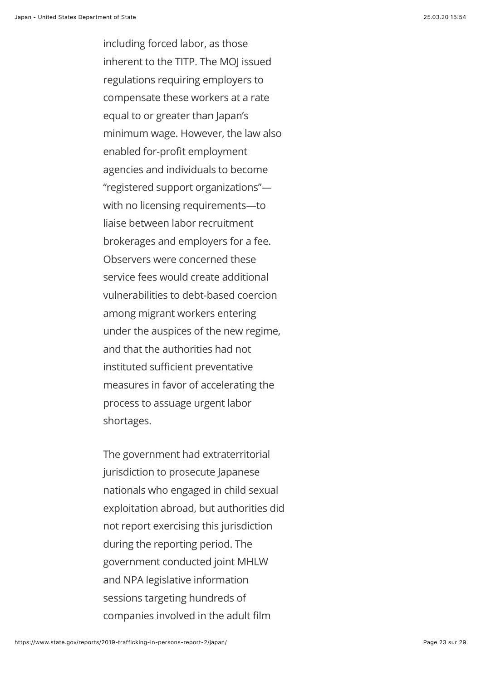including forced labor, as those inherent to the TITP. The MOJ issued regulations requiring employers to compensate these workers at a rate equal to or greater than Japan's minimum wage. However, the law also enabled for-profit employment agencies and individuals to become "registered support organizations" with no licensing requirements—to liaise between labor recruitment brokerages and employers for a fee. Observers were concerned these service fees would create additional vulnerabilities to debt-based coercion among migrant workers entering under the auspices of the new regime, and that the authorities had not instituted sufficient preventative measures in favor of accelerating the process to assuage urgent labor shortages.

The government had extraterritorial jurisdiction to prosecute Japanese nationals who engaged in child sexual exploitation abroad, but authorities did not report exercising this jurisdiction during the reporting period. The government conducted joint MHLW and NPA legislative information sessions targeting hundreds of companies involved in the adult film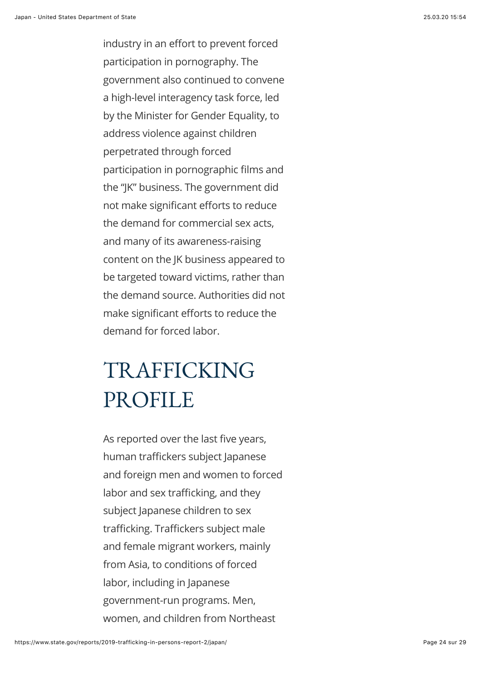industry in an effort to prevent forced participation in pornography. The government also continued to convene a high-level interagency task force, led by the Minister for Gender Equality, to address violence against children perpetrated through forced participation in pornographic films and the "JK" business. The government did not make significant efforts to reduce the demand for commercial sex acts, and many of its awareness-raising content on the JK business appeared to be targeted toward victims, rather than the demand source. Authorities did not make significant efforts to reduce the demand for forced labor.

### TRAFFICKING PROFILE

As reported over the last five years, human traffickers subject Japanese and foreign men and women to forced labor and sex trafficking, and they subject Japanese children to sex trafficking. Traffickers subject male and female migrant workers, mainly from Asia, to conditions of forced labor, including in Japanese government-run programs. Men, women, and children from Northeast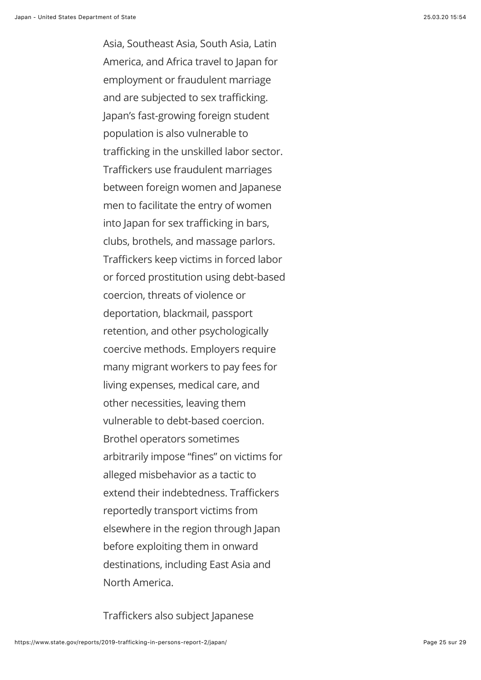Asia, Southeast Asia, South Asia, Latin America, and Africa travel to Japan for employment or fraudulent marriage and are subjected to sex trafficking. Japan's fast-growing foreign student population is also vulnerable to trafficking in the unskilled labor sector. Traffickers use fraudulent marriages between foreign women and Japanese men to facilitate the entry of women into Japan for sex trafficking in bars, clubs, brothels, and massage parlors. Traffickers keep victims in forced labor or forced prostitution using debt-based coercion, threats of violence or deportation, blackmail, passport retention, and other psychologically coercive methods. Employers require many migrant workers to pay fees for living expenses, medical care, and other necessities, leaving them vulnerable to debt-based coercion. Brothel operators sometimes arbitrarily impose "fines" on victims for alleged misbehavior as a tactic to extend their indebtedness. Traffickers reportedly transport victims from elsewhere in the region through Japan before exploiting them in onward destinations, including East Asia and North America.

Traffickers also subject Japanese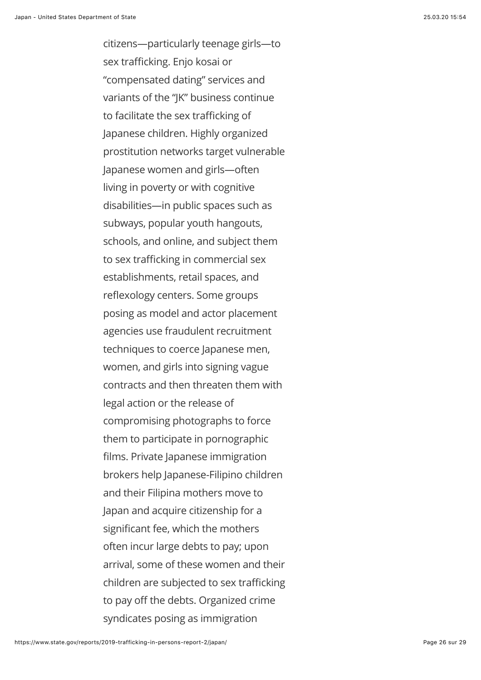citizens—particularly teenage girls—to sex trafficking. Enjo kosai or "compensated dating" services and variants of the "JK" business continue to facilitate the sex trafficking of Japanese children. Highly organized prostitution networks target vulnerable Japanese women and girls—often living in poverty or with cognitive disabilities—in public spaces such as subways, popular youth hangouts, schools, and online, and subject them to sex trafficking in commercial sex establishments, retail spaces, and reflexology centers. Some groups posing as model and actor placement agencies use fraudulent recruitment techniques to coerce Japanese men, women, and girls into signing vague contracts and then threaten them with legal action or the release of compromising photographs to force them to participate in pornographic films. Private Japanese immigration brokers help Japanese-Filipino children and their Filipina mothers move to Japan and acquire citizenship for a significant fee, which the mothers often incur large debts to pay; upon arrival, some of these women and their children are subjected to sex trafficking to pay off the debts. Organized crime syndicates posing as immigration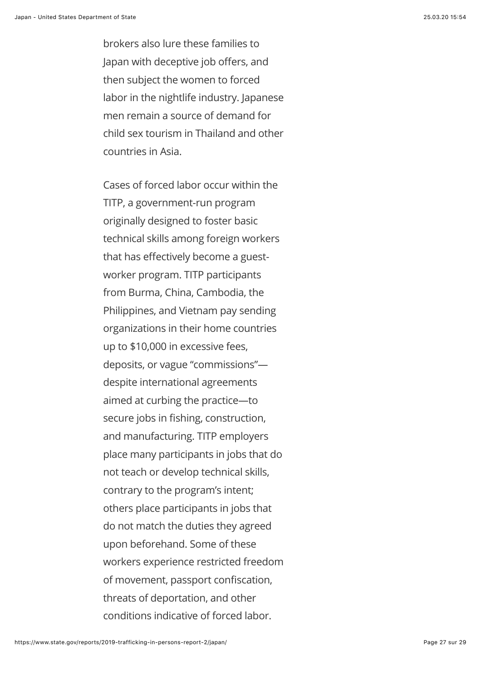brokers also lure these families to Japan with deceptive job offers, and then subject the women to forced labor in the nightlife industry. Japanese men remain a source of demand for child sex tourism in Thailand and other countries in Asia.

Cases of forced labor occur within the TITP, a government-run program originally designed to foster basic technical skills among foreign workers that has effectively become a guestworker program. TITP participants from Burma, China, Cambodia, the Philippines, and Vietnam pay sending organizations in their home countries up to \$10,000 in excessive fees, deposits, or vague "commissions" despite international agreements aimed at curbing the practice—to secure jobs in fishing, construction, and manufacturing. TITP employers place many participants in jobs that do not teach or develop technical skills, contrary to the program's intent; others place participants in jobs that do not match the duties they agreed upon beforehand. Some of these workers experience restricted freedom of movement, passport confiscation, threats of deportation, and other conditions indicative of forced labor.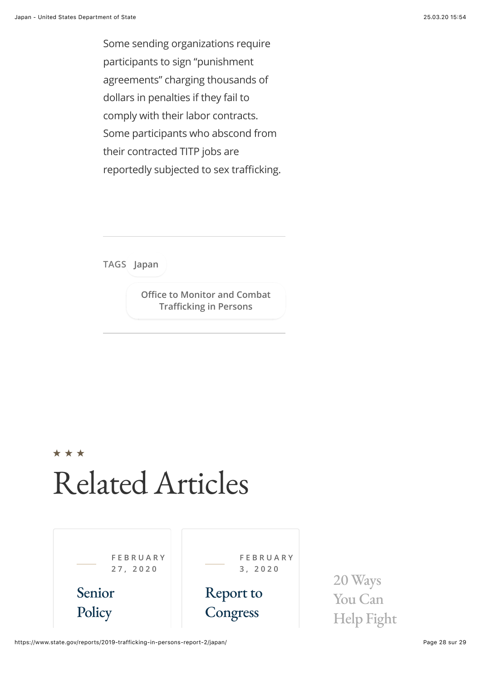Some sending organizations require participants to sign "punishment agreements" charging thousands of dollars in penalties if they fail to comply with their labor contracts. Some participants who abscond from their contracted TITP jobs are reportedly subjected to sex trafficking.

**[Japan](https://www.state.gov/countries-areas/japan/) TAGS**

**Offi[ce to Monitor and Combat](https://www.state.gov/bureaus-offices/under-secretary-for-civilian-security-democracy-and-human-rights/office-to-monitor-and-combat-trafficking-in-persons/) Trafficking in Persons**

#### \* \* \*

## Related Articles



20 Ways You Can [Help Fight](https://www.state.gov/20-ways-you-can-help-fight-human-trafficking/)